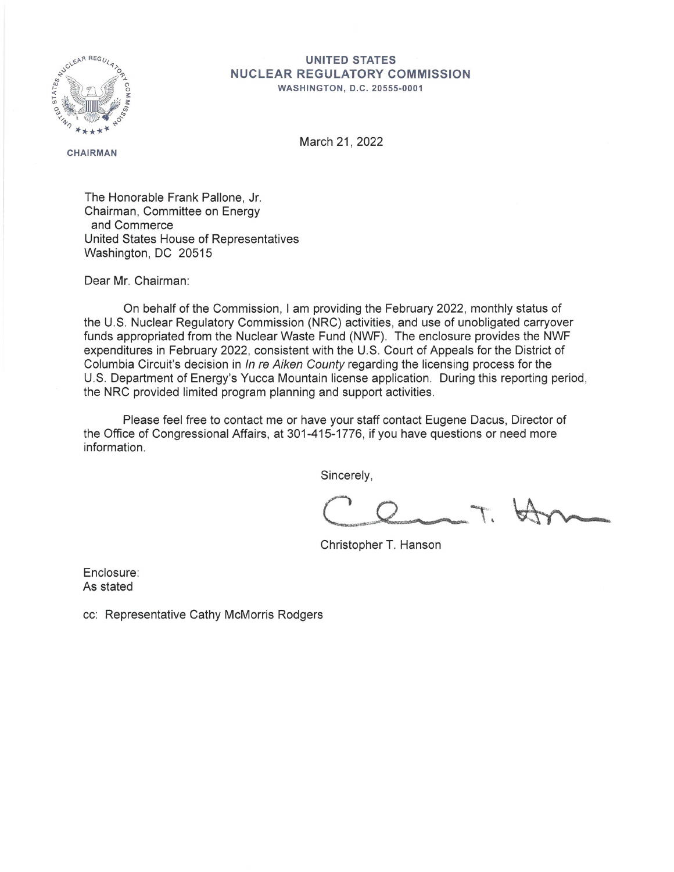

## **UNITED STATES NUCLEAR REGULATORY COMMISSION**

**WASHINGTON, O.C. 20555-0001** 

**CHAIRMAN** 

March 21, 2022

The Honorable Frank Pallone, Jr. Chairman, Committee on Energy and Commerce United States House of Representatives Washington, DC 20515

Dear Mr. Chairman:

On behalf of the Commission, I am providing the February 2022, monthly status of the U.S. Nuclear Regulatory Commission (NRC) activities, and use of unobligated carryover funds appropriated from the Nuclear Waste Fund (NWF). The enclosure provides the NWF expenditures in February 2022, consistent with the U.S. Court of Appeals for the District of Columbia Circuit's decision in In re Aiken County regarding the licensing process for the U.S. Department of Energy's Yucca Mountain license application. During this reporting period, the NRC provided limited program planning and support activities.

Please feel free to contact me or have your staff contact Eugene Dacus, Director of the Office of Congressional Affairs, at 301-415-1776, if you have questions or need more information.

Sincerely,

Christopher T. Hanson

Enclosure: As stated

cc: Representative Cathy McMorris Rodgers